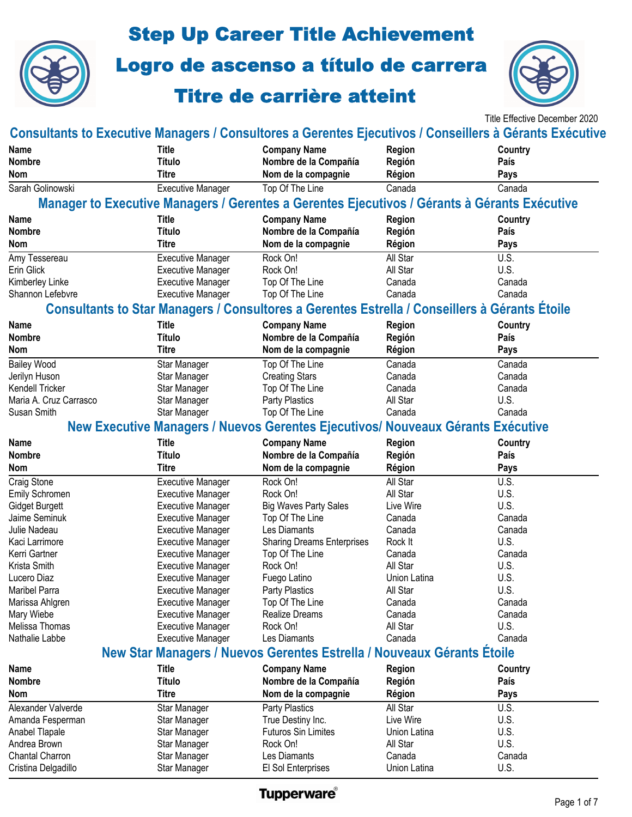

## Step Up Career Title Achievement

Logro de ascenso a título de carrera

## Titre de carrière atteint



Title Effective December 2020

| <b>Consultants to Executive Managers / Consultores a Gerentes Ejecutivos / Conseillers à Gérants Exécutive</b> |                                                      |                                                                                               |                  |         |
|----------------------------------------------------------------------------------------------------------------|------------------------------------------------------|-----------------------------------------------------------------------------------------------|------------------|---------|
| <b>Name</b>                                                                                                    | <b>Title</b>                                         | <b>Company Name</b>                                                                           | <b>Region</b>    | Country |
| <b>Nombre</b>                                                                                                  | <b>Título</b>                                        | Nombre de la Compañía                                                                         | Región           | País    |
| <b>Nom</b>                                                                                                     | Titre                                                | Nom de la compagnie                                                                           | Région           | Pays    |
| Sarah Golinowski                                                                                               | <b>Executive Manager</b>                             | Top Of The Line                                                                               | Canada           | Canada  |
|                                                                                                                |                                                      | Manager to Executive Managers / Gerentes a Gerentes Ejecutivos / Gérants à Gérants Exécutive  |                  |         |
| Name                                                                                                           | <b>Title</b>                                         | <b>Company Name</b>                                                                           | <b>Region</b>    | Country |
| <b>Nombre</b>                                                                                                  | <b>Título</b>                                        | Nombre de la Compañía                                                                         | Región           | País    |
| <b>Nom</b>                                                                                                     | <b>Titre</b>                                         | Nom de la compagnie                                                                           | Région           | Pays    |
| Amy Tessereau                                                                                                  | <b>Executive Manager</b>                             | Rock On!                                                                                      | All Star         | U.S.    |
| Erin Glick                                                                                                     | <b>Executive Manager</b>                             | Rock On!                                                                                      | All Star         | U.S.    |
| Kimberley Linke                                                                                                | <b>Executive Manager</b>                             | Top Of The Line                                                                               | Canada           | Canada  |
| Shannon Lefebvre                                                                                               | <b>Executive Manager</b>                             | Top Of The Line                                                                               | Canada           | Canada  |
|                                                                                                                |                                                      | Consultants to Star Managers / Consultores a Gerentes Estrella / Conseillers à Gérants Étoile |                  |         |
| Name                                                                                                           | <b>Title</b>                                         | <b>Company Name</b>                                                                           | <b>Region</b>    | Country |
| <b>Nombre</b>                                                                                                  | <b>Título</b>                                        | Nombre de la Compañía                                                                         | Región           | País    |
| <b>Nom</b>                                                                                                     | <b>Titre</b>                                         | Nom de la compagnie                                                                           | Région           | Pays    |
| <b>Bailey Wood</b>                                                                                             | Star Manager                                         | Top Of The Line                                                                               | Canada           | Canada  |
| Jerilyn Huson                                                                                                  | Star Manager                                         | <b>Creating Stars</b>                                                                         | Canada           | Canada  |
| Kendell Tricker                                                                                                | Star Manager                                         | Top Of The Line                                                                               | Canada           | Canada  |
| Maria A. Cruz Carrasco                                                                                         | Star Manager                                         | <b>Party Plastics</b>                                                                         | All Star         | U.S.    |
| Susan Smith                                                                                                    | Star Manager                                         | Top Of The Line                                                                               | Canada           | Canada  |
|                                                                                                                |                                                      | New Executive Managers / Nuevos Gerentes Ejecutivos/ Nouveaux Gérants Exécutive               |                  |         |
| Name                                                                                                           | <b>Title</b>                                         | <b>Company Name</b>                                                                           | <b>Region</b>    | Country |
|                                                                                                                |                                                      |                                                                                               |                  |         |
| <b>Nombre</b>                                                                                                  | <b>Título</b>                                        |                                                                                               |                  | País    |
| <b>Nom</b>                                                                                                     | <b>Titre</b>                                         | Nombre de la Compañía<br>Nom de la compagnie                                                  | Región<br>Région | Pays    |
|                                                                                                                |                                                      | Rock On!                                                                                      | All Star         | U.S.    |
| Craig Stone                                                                                                    | <b>Executive Manager</b>                             | Rock On!                                                                                      | All Star         | U.S.    |
| <b>Emily Schromen</b><br><b>Gidget Burgett</b>                                                                 | <b>Executive Manager</b><br><b>Executive Manager</b> |                                                                                               | Live Wire        | U.S.    |
| Jaime Seminuk                                                                                                  | <b>Executive Manager</b>                             | <b>Big Waves Party Sales</b><br>Top Of The Line                                               | Canada           | Canada  |
| Julie Nadeau                                                                                                   | <b>Executive Manager</b>                             | Les Diamants                                                                                  | Canada           | Canada  |
| Kaci Larrimore                                                                                                 | <b>Executive Manager</b>                             | <b>Sharing Dreams Enterprises</b>                                                             | Rock It          | U.S.    |
| Kerri Gartner                                                                                                  | <b>Executive Manager</b>                             | Top Of The Line                                                                               | Canada           | Canada  |
| Krista Smith                                                                                                   | <b>Executive Manager</b>                             | Rock On!                                                                                      | All Star         | U.S.    |
| Lucero Diaz                                                                                                    | <b>Executive Manager</b>                             | Fuego Latino                                                                                  | Union Latina     | U.S.    |
| Maribel Parra                                                                                                  | <b>Executive Manager</b>                             | <b>Party Plastics</b>                                                                         | All Star         | U.S.    |
| Marissa Ahlgren                                                                                                | <b>Executive Manager</b>                             | Top Of The Line                                                                               | Canada           | Canada  |
| Mary Wiebe                                                                                                     | <b>Executive Manager</b>                             | Realize Dreams                                                                                | Canada           | Canada  |
| Melissa Thomas                                                                                                 | <b>Executive Manager</b>                             | Rock On!                                                                                      | All Star         | U.S.    |
| Nathalie Labbe                                                                                                 | <b>Executive Manager</b>                             | Les Diamants                                                                                  | Canada           | Canada  |
|                                                                                                                |                                                      | New Star Managers / Nuevos Gerentes Estrella / Nouveaux Gérants Étoile                        |                  |         |
| Name                                                                                                           | <b>Title</b>                                         | <b>Company Name</b>                                                                           | <b>Region</b>    | Country |
| <b>Nombre</b>                                                                                                  | <b>Título</b>                                        | Nombre de la Compañía                                                                         | Región           | País    |
| <b>Nom</b>                                                                                                     | <b>Titre</b>                                         | Nom de la compagnie                                                                           | Région           | Pays    |
| Alexander Valverde                                                                                             | Star Manager                                         | <b>Party Plastics</b>                                                                         | All Star         | U.S.    |
| Amanda Fesperman                                                                                               |                                                      | True Destiny Inc.                                                                             | Live Wire        | U.S.    |
| Anabel Tlapale                                                                                                 | Star Manager<br>Star Manager                         | <b>Futuros Sin Limites</b>                                                                    | Union Latina     | U.S.    |
| Andrea Brown                                                                                                   |                                                      | Rock On!                                                                                      | All Star         | U.S.    |
| Chantal Charron                                                                                                | Star Manager<br>Star Manager                         | Les Diamants                                                                                  | Canada           | Canada  |

## **Tupperware**®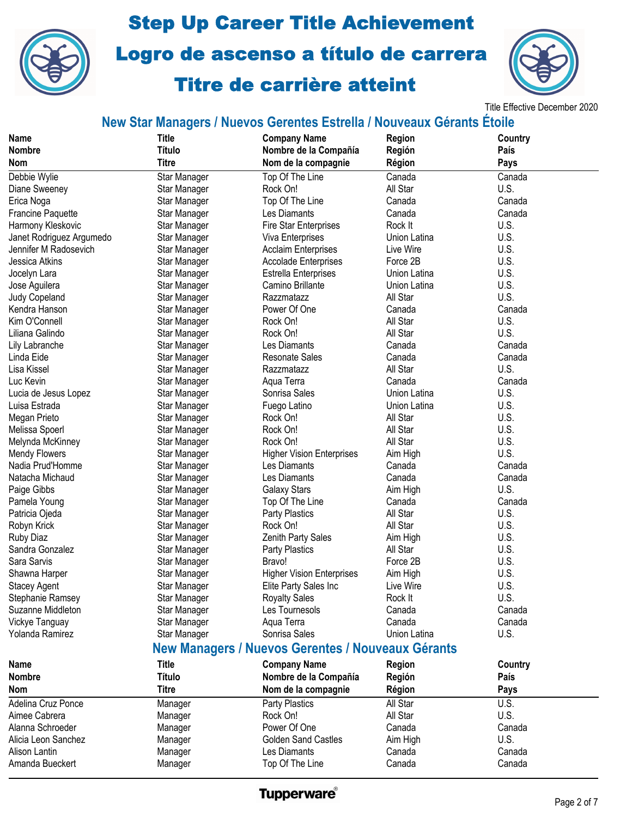



Title Effective December 2020

### **New Star Managers / Nuevos Gerentes Estrella / Nouveaux Gérants Étoile**

| <b>Name</b>                                       | <b>Title</b>  | <b>Company Name</b>              | <b>Region</b> | Country |  |
|---------------------------------------------------|---------------|----------------------------------|---------------|---------|--|
| <b>Nombre</b>                                     | <b>Título</b> | Nombre de la Compañía            | Región        | País    |  |
| <b>Nom</b>                                        | <b>Titre</b>  | Nom de la compagnie              | Région        | Pays    |  |
| Debbie Wylie                                      | Star Manager  | Top Of The Line                  | Canada        | Canada  |  |
| Diane Sweeney                                     | Star Manager  | Rock On!                         | All Star      | U.S.    |  |
| Erica Noga                                        | Star Manager  | Top Of The Line                  | Canada        | Canada  |  |
| <b>Francine Paquette</b>                          | Star Manager  | Les Diamants                     | Canada        | Canada  |  |
| Harmony Kleskovic                                 | Star Manager  | <b>Fire Star Enterprises</b>     | Rock It       | U.S.    |  |
| Janet Rodriguez Argumedo                          | Star Manager  | Viva Enterprises                 | Union Latina  | U.S.    |  |
| Jennifer M Radosevich                             | Star Manager  | <b>Acclaim Enterprises</b>       | Live Wire     | U.S.    |  |
| Jessica Atkins                                    | Star Manager  | <b>Accolade Enterprises</b>      | Force 2B      | U.S.    |  |
| Jocelyn Lara                                      | Star Manager  | <b>Estrella Enterprises</b>      | Union Latina  | U.S.    |  |
| Jose Aguilera                                     | Star Manager  | Camino Brillante                 | Union Latina  | U.S.    |  |
| Judy Copeland                                     | Star Manager  | Razzmatazz                       | All Star      | U.S.    |  |
| Kendra Hanson                                     | Star Manager  | Power Of One                     | Canada        | Canada  |  |
| Kim O'Connell                                     | Star Manager  | Rock On!                         | All Star      | U.S.    |  |
| Liliana Galindo                                   | Star Manager  | Rock On!                         | All Star      | U.S.    |  |
| Lily Labranche                                    | Star Manager  | Les Diamants                     | Canada        | Canada  |  |
| Linda Eide                                        | Star Manager  | <b>Resonate Sales</b>            | Canada        | Canada  |  |
| Lisa Kissel                                       | Star Manager  | Razzmatazz                       | All Star      | U.S.    |  |
| Luc Kevin                                         | Star Manager  | Aqua Terra                       | Canada        | Canada  |  |
| Lucia de Jesus Lopez                              | Star Manager  | Sonrisa Sales                    | Union Latina  | U.S.    |  |
| Luisa Estrada                                     | Star Manager  | Fuego Latino                     | Union Latina  | U.S.    |  |
|                                                   |               |                                  | All Star      | U.S.    |  |
| Megan Prieto                                      | Star Manager  | Rock On!                         |               |         |  |
| Melissa Spoerl                                    | Star Manager  | Rock On!                         | All Star      | U.S.    |  |
| Melynda McKinney                                  | Star Manager  | Rock On!                         | All Star      | U.S.    |  |
| <b>Mendy Flowers</b>                              | Star Manager  | <b>Higher Vision Enterprises</b> | Aim High      | U.S.    |  |
| Nadia Prud'Homme                                  | Star Manager  | Les Diamants                     | Canada        | Canada  |  |
| Natacha Michaud                                   | Star Manager  | Les Diamants                     | Canada        | Canada  |  |
| Paige Gibbs                                       | Star Manager  | <b>Galaxy Stars</b>              | Aim High      | U.S.    |  |
| Pamela Young                                      | Star Manager  | Top Of The Line                  | Canada        | Canada  |  |
| Patricia Ojeda                                    | Star Manager  | <b>Party Plastics</b>            | All Star      | U.S.    |  |
| Robyn Krick                                       | Star Manager  | Rock On!                         | All Star      | U.S.    |  |
| <b>Ruby Diaz</b>                                  | Star Manager  | Zenith Party Sales               | Aim High      | U.S.    |  |
| Sandra Gonzalez                                   | Star Manager  | <b>Party Plastics</b>            | All Star      | U.S.    |  |
| Sara Sarvis                                       | Star Manager  | Bravo!                           | Force 2B      | U.S.    |  |
| Shawna Harper                                     | Star Manager  | <b>Higher Vision Enterprises</b> | Aim High      | U.S.    |  |
| <b>Stacey Agent</b>                               | Star Manager  | Elite Party Sales Inc            | Live Wire     | U.S.    |  |
| Stephanie Ramsey                                  | Star Manager  | <b>Royalty Sales</b>             | Rock It       | U.S.    |  |
| Suzanne Middleton                                 | Star Manager  | Les Tournesols                   | Canada        | Canada  |  |
| Vickye Tanguay                                    | Star Manager  | Aqua Terra                       | Canada        | Canada  |  |
| Yolanda Ramirez                                   | Star Manager  | Sonrisa Sales                    | Union Latina  | U.S.    |  |
| New Managers / Nuevos Gerentes / Nouveaux Gérants |               |                                  |               |         |  |
| Name                                              | <b>Title</b>  | <b>Company Name</b>              | <b>Region</b> | Country |  |
| <b>Nombre</b>                                     | <b>Título</b> | Nombre de la Compañía            | Región        | País    |  |
| <b>Nom</b>                                        | <b>Titre</b>  | Nom de la compagnie              | Région        | Pays    |  |
| Adelina Cruz Ponce                                | Manager       | Party Plastics                   | All Star      | U.S.    |  |
| Aimee Cabrera                                     | Manager       | Rock On!                         | All Star      | U.S.    |  |
| Alanna Schroeder                                  | Manager       | Power Of One                     | Canada        | Canada  |  |
| Alicia Leon Sanchez                               | Manager       | <b>Golden Sand Castles</b>       | Aim High      | U.S.    |  |
| Alison Lantin                                     | Manager       | Les Diamants                     | Canada        | Canada  |  |
| Amanda Bueckert                                   | Manager       | Top Of The Line                  | Canada        | Canada  |  |
|                                                   |               |                                  |               |         |  |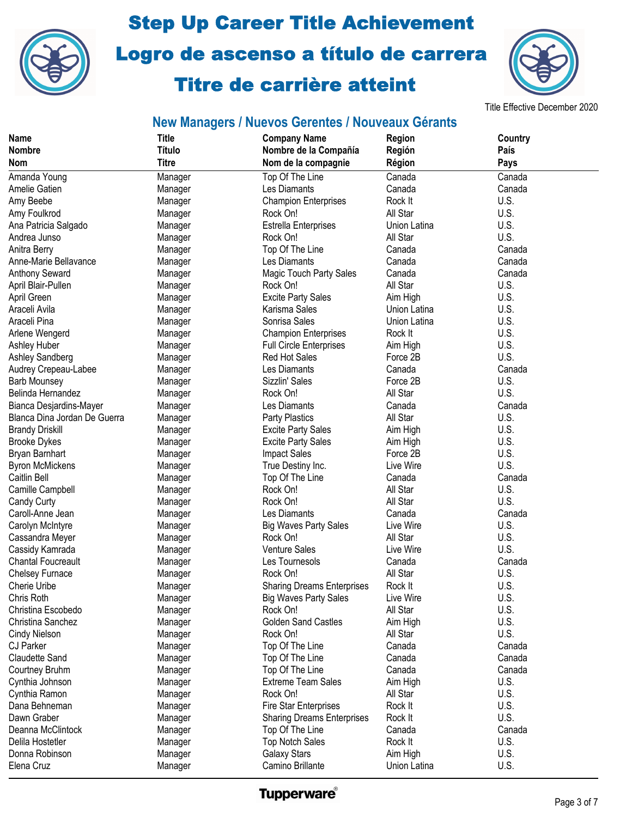



#### Title Effective December 2020

| <b>Titre</b><br>Nom de la compagnie<br>Région<br>Pays<br><b>Nom</b><br>Top Of The Line<br>Canada<br>Canada<br>Amanda Young<br>Manager<br>Les Diamants<br>Amelie Gatien<br>Canada<br>Canada<br>Manager<br>U.S.<br>Amy Beebe<br><b>Champion Enterprises</b><br>Rock It<br>Manager<br>U.S.<br>All Star<br>Rock On!<br>Amy Foulkrod<br>Manager<br>U.S.<br><b>Estrella Enterprises</b><br>Union Latina<br>Ana Patricia Salgado<br>Manager<br>U.S.<br>All Star<br>Andrea Junso<br>Rock On!<br>Manager<br>Canada<br>Top Of The Line<br>Anitra Berry<br>Manager<br>Canada<br>Les Diamants<br>Canada<br>Canada<br>Anne-Marie Bellavance<br>Manager<br>Magic Touch Party Sales<br>Anthony Seward<br>Canada<br>Canada<br>Manager<br>All Star<br>U.S.<br>Rock On!<br>April Blair-Pullen<br>Manager<br>April Green<br><b>Excite Party Sales</b><br>Aim High<br>U.S.<br>Manager<br>U.S.<br>Karisma Sales<br>Union Latina<br>Araceli Avila<br>Manager<br>U.S.<br>Araceli Pina<br>Sonrisa Sales<br>Union Latina<br>Manager<br>U.S.<br>Arlene Wengerd<br><b>Champion Enterprises</b><br>Rock It<br>Manager<br>U.S.<br>Ashley Huber<br>Aim High<br><b>Full Circle Enterprises</b><br>Manager<br>U.S.<br>Ashley Sandberg<br>Red Hot Sales<br>Force 2B<br>Manager<br>Les Diamants<br>Canada<br>Audrey Crepeau-Labee<br>Canada<br>Manager<br>U.S.<br>Sizzlin' Sales<br>Force 2B<br><b>Barb Mounsey</b><br>Manager<br>All Star<br>U.S.<br>Belinda Hernandez<br>Rock On!<br>Manager<br>Les Diamants<br>Canada<br>Bianca Desjardins-Mayer<br>Canada<br>Manager<br>U.S.<br>All Star<br>Blanca Dina Jordan De Guerra<br><b>Party Plastics</b><br>Manager<br>U.S.<br><b>Brandy Driskill</b><br><b>Excite Party Sales</b><br>Aim High<br>Manager<br>U.S.<br><b>Brooke Dykes</b><br><b>Excite Party Sales</b><br>Aim High<br>Manager<br>U.S.<br>Bryan Barnhart<br><b>Impact Sales</b><br>Force 2B<br>Manager<br>U.S.<br>Live Wire<br>True Destiny Inc.<br><b>Byron McMickens</b><br>Manager<br>Canada<br>Caitlin Bell<br>Top Of The Line<br>Canada<br>Manager<br>Rock On!<br>Camille Campbell<br>All Star<br>U.S.<br>Manager<br>U.S.<br>Rock On!<br>All Star<br>Candy Curty<br>Manager<br>Caroll-Anne Jean<br>Les Diamants<br>Canada<br>Canada<br>Manager<br>Live Wire<br>U.S.<br><b>Big Waves Party Sales</b><br>Carolyn McIntyre<br>Manager<br>Rock On!<br>All Star<br>U.S.<br>Cassandra Meyer<br>Manager<br>Venture Sales<br>Live Wire<br>U.S.<br>Cassidy Kamrada<br>Manager<br>Les Tournesols<br>Canada<br><b>Chantal Foucreault</b><br>Canada<br>Manager<br>All Star<br>U.S.<br>Chelsey Furnace<br>Rock On!<br>Manager<br>U.S.<br>Cherie Uribe<br><b>Sharing Dreams Enterprises</b><br>Rock It<br>Manager<br>Chris Roth<br>Live Wire<br>U.S.<br><b>Big Waves Party Sales</b><br>Manager<br>All Star<br>U.S.<br>Christina Escobedo<br>Rock On!<br>Manager<br>U.S.<br><b>Golden Sand Castles</b><br>Christina Sanchez<br>Aim High<br>Manager<br>U.S.<br>All Star<br>Rock On!<br>Cindy Nielson<br>Manager<br><b>CJ Parker</b><br>Top Of The Line<br>Canada<br>Canada<br>Manager<br><b>Claudette Sand</b><br>Top Of The Line<br>Canada<br>Canada<br>Manager<br>Top Of The Line<br>Canada<br>Canada<br>Courtney Bruhm<br>Manager<br>U.S.<br><b>Extreme Team Sales</b><br>Aim High<br>Cynthia Johnson<br>Manager<br>Cynthia Ramon<br>Rock On!<br>All Star<br>U.S.<br>Manager<br>Dana Behneman<br>Fire Star Enterprises<br>Rock It<br>U.S.<br>Manager<br>U.S.<br>Dawn Graber<br>Rock It<br><b>Sharing Dreams Enterprises</b><br>Manager<br>Deanna McClintock<br>Canada<br>Top Of The Line<br>Canada<br>Manager<br>U.S.<br>Delila Hostetler<br><b>Top Notch Sales</b><br>Rock It<br>Manager | <b>Name</b>    | <b>Title</b>  | <b>Company Name</b>   | Region   | Country |
|-------------------------------------------------------------------------------------------------------------------------------------------------------------------------------------------------------------------------------------------------------------------------------------------------------------------------------------------------------------------------------------------------------------------------------------------------------------------------------------------------------------------------------------------------------------------------------------------------------------------------------------------------------------------------------------------------------------------------------------------------------------------------------------------------------------------------------------------------------------------------------------------------------------------------------------------------------------------------------------------------------------------------------------------------------------------------------------------------------------------------------------------------------------------------------------------------------------------------------------------------------------------------------------------------------------------------------------------------------------------------------------------------------------------------------------------------------------------------------------------------------------------------------------------------------------------------------------------------------------------------------------------------------------------------------------------------------------------------------------------------------------------------------------------------------------------------------------------------------------------------------------------------------------------------------------------------------------------------------------------------------------------------------------------------------------------------------------------------------------------------------------------------------------------------------------------------------------------------------------------------------------------------------------------------------------------------------------------------------------------------------------------------------------------------------------------------------------------------------------------------------------------------------------------------------------------------------------------------------------------------------------------------------------------------------------------------------------------------------------------------------------------------------------------------------------------------------------------------------------------------------------------------------------------------------------------------------------------------------------------------------------------------------------------------------------------------------------------------------------------------------------------------------------------------------------------------------------------------------------------------------------------------------------------------------------------------------------------------------------------------------------------------------------------------------------------------------------------------------------------------------------------------------------------------------------------------------------------------------------------------------------------------------------|----------------|---------------|-----------------------|----------|---------|
|                                                                                                                                                                                                                                                                                                                                                                                                                                                                                                                                                                                                                                                                                                                                                                                                                                                                                                                                                                                                                                                                                                                                                                                                                                                                                                                                                                                                                                                                                                                                                                                                                                                                                                                                                                                                                                                                                                                                                                                                                                                                                                                                                                                                                                                                                                                                                                                                                                                                                                                                                                                                                                                                                                                                                                                                                                                                                                                                                                                                                                                                                                                                                                                                                                                                                                                                                                                                                                                                                                                                                                                                                                                             | <b>Nombre</b>  | <b>Título</b> | Nombre de la Compañía | Región   | País    |
|                                                                                                                                                                                                                                                                                                                                                                                                                                                                                                                                                                                                                                                                                                                                                                                                                                                                                                                                                                                                                                                                                                                                                                                                                                                                                                                                                                                                                                                                                                                                                                                                                                                                                                                                                                                                                                                                                                                                                                                                                                                                                                                                                                                                                                                                                                                                                                                                                                                                                                                                                                                                                                                                                                                                                                                                                                                                                                                                                                                                                                                                                                                                                                                                                                                                                                                                                                                                                                                                                                                                                                                                                                                             |                |               |                       |          |         |
|                                                                                                                                                                                                                                                                                                                                                                                                                                                                                                                                                                                                                                                                                                                                                                                                                                                                                                                                                                                                                                                                                                                                                                                                                                                                                                                                                                                                                                                                                                                                                                                                                                                                                                                                                                                                                                                                                                                                                                                                                                                                                                                                                                                                                                                                                                                                                                                                                                                                                                                                                                                                                                                                                                                                                                                                                                                                                                                                                                                                                                                                                                                                                                                                                                                                                                                                                                                                                                                                                                                                                                                                                                                             |                |               |                       |          |         |
|                                                                                                                                                                                                                                                                                                                                                                                                                                                                                                                                                                                                                                                                                                                                                                                                                                                                                                                                                                                                                                                                                                                                                                                                                                                                                                                                                                                                                                                                                                                                                                                                                                                                                                                                                                                                                                                                                                                                                                                                                                                                                                                                                                                                                                                                                                                                                                                                                                                                                                                                                                                                                                                                                                                                                                                                                                                                                                                                                                                                                                                                                                                                                                                                                                                                                                                                                                                                                                                                                                                                                                                                                                                             |                |               |                       |          |         |
|                                                                                                                                                                                                                                                                                                                                                                                                                                                                                                                                                                                                                                                                                                                                                                                                                                                                                                                                                                                                                                                                                                                                                                                                                                                                                                                                                                                                                                                                                                                                                                                                                                                                                                                                                                                                                                                                                                                                                                                                                                                                                                                                                                                                                                                                                                                                                                                                                                                                                                                                                                                                                                                                                                                                                                                                                                                                                                                                                                                                                                                                                                                                                                                                                                                                                                                                                                                                                                                                                                                                                                                                                                                             |                |               |                       |          |         |
|                                                                                                                                                                                                                                                                                                                                                                                                                                                                                                                                                                                                                                                                                                                                                                                                                                                                                                                                                                                                                                                                                                                                                                                                                                                                                                                                                                                                                                                                                                                                                                                                                                                                                                                                                                                                                                                                                                                                                                                                                                                                                                                                                                                                                                                                                                                                                                                                                                                                                                                                                                                                                                                                                                                                                                                                                                                                                                                                                                                                                                                                                                                                                                                                                                                                                                                                                                                                                                                                                                                                                                                                                                                             |                |               |                       |          |         |
|                                                                                                                                                                                                                                                                                                                                                                                                                                                                                                                                                                                                                                                                                                                                                                                                                                                                                                                                                                                                                                                                                                                                                                                                                                                                                                                                                                                                                                                                                                                                                                                                                                                                                                                                                                                                                                                                                                                                                                                                                                                                                                                                                                                                                                                                                                                                                                                                                                                                                                                                                                                                                                                                                                                                                                                                                                                                                                                                                                                                                                                                                                                                                                                                                                                                                                                                                                                                                                                                                                                                                                                                                                                             |                |               |                       |          |         |
|                                                                                                                                                                                                                                                                                                                                                                                                                                                                                                                                                                                                                                                                                                                                                                                                                                                                                                                                                                                                                                                                                                                                                                                                                                                                                                                                                                                                                                                                                                                                                                                                                                                                                                                                                                                                                                                                                                                                                                                                                                                                                                                                                                                                                                                                                                                                                                                                                                                                                                                                                                                                                                                                                                                                                                                                                                                                                                                                                                                                                                                                                                                                                                                                                                                                                                                                                                                                                                                                                                                                                                                                                                                             |                |               |                       |          |         |
|                                                                                                                                                                                                                                                                                                                                                                                                                                                                                                                                                                                                                                                                                                                                                                                                                                                                                                                                                                                                                                                                                                                                                                                                                                                                                                                                                                                                                                                                                                                                                                                                                                                                                                                                                                                                                                                                                                                                                                                                                                                                                                                                                                                                                                                                                                                                                                                                                                                                                                                                                                                                                                                                                                                                                                                                                                                                                                                                                                                                                                                                                                                                                                                                                                                                                                                                                                                                                                                                                                                                                                                                                                                             |                |               |                       |          |         |
|                                                                                                                                                                                                                                                                                                                                                                                                                                                                                                                                                                                                                                                                                                                                                                                                                                                                                                                                                                                                                                                                                                                                                                                                                                                                                                                                                                                                                                                                                                                                                                                                                                                                                                                                                                                                                                                                                                                                                                                                                                                                                                                                                                                                                                                                                                                                                                                                                                                                                                                                                                                                                                                                                                                                                                                                                                                                                                                                                                                                                                                                                                                                                                                                                                                                                                                                                                                                                                                                                                                                                                                                                                                             |                |               |                       |          |         |
|                                                                                                                                                                                                                                                                                                                                                                                                                                                                                                                                                                                                                                                                                                                                                                                                                                                                                                                                                                                                                                                                                                                                                                                                                                                                                                                                                                                                                                                                                                                                                                                                                                                                                                                                                                                                                                                                                                                                                                                                                                                                                                                                                                                                                                                                                                                                                                                                                                                                                                                                                                                                                                                                                                                                                                                                                                                                                                                                                                                                                                                                                                                                                                                                                                                                                                                                                                                                                                                                                                                                                                                                                                                             |                |               |                       |          |         |
|                                                                                                                                                                                                                                                                                                                                                                                                                                                                                                                                                                                                                                                                                                                                                                                                                                                                                                                                                                                                                                                                                                                                                                                                                                                                                                                                                                                                                                                                                                                                                                                                                                                                                                                                                                                                                                                                                                                                                                                                                                                                                                                                                                                                                                                                                                                                                                                                                                                                                                                                                                                                                                                                                                                                                                                                                                                                                                                                                                                                                                                                                                                                                                                                                                                                                                                                                                                                                                                                                                                                                                                                                                                             |                |               |                       |          |         |
|                                                                                                                                                                                                                                                                                                                                                                                                                                                                                                                                                                                                                                                                                                                                                                                                                                                                                                                                                                                                                                                                                                                                                                                                                                                                                                                                                                                                                                                                                                                                                                                                                                                                                                                                                                                                                                                                                                                                                                                                                                                                                                                                                                                                                                                                                                                                                                                                                                                                                                                                                                                                                                                                                                                                                                                                                                                                                                                                                                                                                                                                                                                                                                                                                                                                                                                                                                                                                                                                                                                                                                                                                                                             |                |               |                       |          |         |
|                                                                                                                                                                                                                                                                                                                                                                                                                                                                                                                                                                                                                                                                                                                                                                                                                                                                                                                                                                                                                                                                                                                                                                                                                                                                                                                                                                                                                                                                                                                                                                                                                                                                                                                                                                                                                                                                                                                                                                                                                                                                                                                                                                                                                                                                                                                                                                                                                                                                                                                                                                                                                                                                                                                                                                                                                                                                                                                                                                                                                                                                                                                                                                                                                                                                                                                                                                                                                                                                                                                                                                                                                                                             |                |               |                       |          |         |
|                                                                                                                                                                                                                                                                                                                                                                                                                                                                                                                                                                                                                                                                                                                                                                                                                                                                                                                                                                                                                                                                                                                                                                                                                                                                                                                                                                                                                                                                                                                                                                                                                                                                                                                                                                                                                                                                                                                                                                                                                                                                                                                                                                                                                                                                                                                                                                                                                                                                                                                                                                                                                                                                                                                                                                                                                                                                                                                                                                                                                                                                                                                                                                                                                                                                                                                                                                                                                                                                                                                                                                                                                                                             |                |               |                       |          |         |
|                                                                                                                                                                                                                                                                                                                                                                                                                                                                                                                                                                                                                                                                                                                                                                                                                                                                                                                                                                                                                                                                                                                                                                                                                                                                                                                                                                                                                                                                                                                                                                                                                                                                                                                                                                                                                                                                                                                                                                                                                                                                                                                                                                                                                                                                                                                                                                                                                                                                                                                                                                                                                                                                                                                                                                                                                                                                                                                                                                                                                                                                                                                                                                                                                                                                                                                                                                                                                                                                                                                                                                                                                                                             |                |               |                       |          |         |
|                                                                                                                                                                                                                                                                                                                                                                                                                                                                                                                                                                                                                                                                                                                                                                                                                                                                                                                                                                                                                                                                                                                                                                                                                                                                                                                                                                                                                                                                                                                                                                                                                                                                                                                                                                                                                                                                                                                                                                                                                                                                                                                                                                                                                                                                                                                                                                                                                                                                                                                                                                                                                                                                                                                                                                                                                                                                                                                                                                                                                                                                                                                                                                                                                                                                                                                                                                                                                                                                                                                                                                                                                                                             |                |               |                       |          |         |
|                                                                                                                                                                                                                                                                                                                                                                                                                                                                                                                                                                                                                                                                                                                                                                                                                                                                                                                                                                                                                                                                                                                                                                                                                                                                                                                                                                                                                                                                                                                                                                                                                                                                                                                                                                                                                                                                                                                                                                                                                                                                                                                                                                                                                                                                                                                                                                                                                                                                                                                                                                                                                                                                                                                                                                                                                                                                                                                                                                                                                                                                                                                                                                                                                                                                                                                                                                                                                                                                                                                                                                                                                                                             |                |               |                       |          |         |
|                                                                                                                                                                                                                                                                                                                                                                                                                                                                                                                                                                                                                                                                                                                                                                                                                                                                                                                                                                                                                                                                                                                                                                                                                                                                                                                                                                                                                                                                                                                                                                                                                                                                                                                                                                                                                                                                                                                                                                                                                                                                                                                                                                                                                                                                                                                                                                                                                                                                                                                                                                                                                                                                                                                                                                                                                                                                                                                                                                                                                                                                                                                                                                                                                                                                                                                                                                                                                                                                                                                                                                                                                                                             |                |               |                       |          |         |
|                                                                                                                                                                                                                                                                                                                                                                                                                                                                                                                                                                                                                                                                                                                                                                                                                                                                                                                                                                                                                                                                                                                                                                                                                                                                                                                                                                                                                                                                                                                                                                                                                                                                                                                                                                                                                                                                                                                                                                                                                                                                                                                                                                                                                                                                                                                                                                                                                                                                                                                                                                                                                                                                                                                                                                                                                                                                                                                                                                                                                                                                                                                                                                                                                                                                                                                                                                                                                                                                                                                                                                                                                                                             |                |               |                       |          |         |
|                                                                                                                                                                                                                                                                                                                                                                                                                                                                                                                                                                                                                                                                                                                                                                                                                                                                                                                                                                                                                                                                                                                                                                                                                                                                                                                                                                                                                                                                                                                                                                                                                                                                                                                                                                                                                                                                                                                                                                                                                                                                                                                                                                                                                                                                                                                                                                                                                                                                                                                                                                                                                                                                                                                                                                                                                                                                                                                                                                                                                                                                                                                                                                                                                                                                                                                                                                                                                                                                                                                                                                                                                                                             |                |               |                       |          |         |
|                                                                                                                                                                                                                                                                                                                                                                                                                                                                                                                                                                                                                                                                                                                                                                                                                                                                                                                                                                                                                                                                                                                                                                                                                                                                                                                                                                                                                                                                                                                                                                                                                                                                                                                                                                                                                                                                                                                                                                                                                                                                                                                                                                                                                                                                                                                                                                                                                                                                                                                                                                                                                                                                                                                                                                                                                                                                                                                                                                                                                                                                                                                                                                                                                                                                                                                                                                                                                                                                                                                                                                                                                                                             |                |               |                       |          |         |
|                                                                                                                                                                                                                                                                                                                                                                                                                                                                                                                                                                                                                                                                                                                                                                                                                                                                                                                                                                                                                                                                                                                                                                                                                                                                                                                                                                                                                                                                                                                                                                                                                                                                                                                                                                                                                                                                                                                                                                                                                                                                                                                                                                                                                                                                                                                                                                                                                                                                                                                                                                                                                                                                                                                                                                                                                                                                                                                                                                                                                                                                                                                                                                                                                                                                                                                                                                                                                                                                                                                                                                                                                                                             |                |               |                       |          |         |
|                                                                                                                                                                                                                                                                                                                                                                                                                                                                                                                                                                                                                                                                                                                                                                                                                                                                                                                                                                                                                                                                                                                                                                                                                                                                                                                                                                                                                                                                                                                                                                                                                                                                                                                                                                                                                                                                                                                                                                                                                                                                                                                                                                                                                                                                                                                                                                                                                                                                                                                                                                                                                                                                                                                                                                                                                                                                                                                                                                                                                                                                                                                                                                                                                                                                                                                                                                                                                                                                                                                                                                                                                                                             |                |               |                       |          |         |
|                                                                                                                                                                                                                                                                                                                                                                                                                                                                                                                                                                                                                                                                                                                                                                                                                                                                                                                                                                                                                                                                                                                                                                                                                                                                                                                                                                                                                                                                                                                                                                                                                                                                                                                                                                                                                                                                                                                                                                                                                                                                                                                                                                                                                                                                                                                                                                                                                                                                                                                                                                                                                                                                                                                                                                                                                                                                                                                                                                                                                                                                                                                                                                                                                                                                                                                                                                                                                                                                                                                                                                                                                                                             |                |               |                       |          |         |
|                                                                                                                                                                                                                                                                                                                                                                                                                                                                                                                                                                                                                                                                                                                                                                                                                                                                                                                                                                                                                                                                                                                                                                                                                                                                                                                                                                                                                                                                                                                                                                                                                                                                                                                                                                                                                                                                                                                                                                                                                                                                                                                                                                                                                                                                                                                                                                                                                                                                                                                                                                                                                                                                                                                                                                                                                                                                                                                                                                                                                                                                                                                                                                                                                                                                                                                                                                                                                                                                                                                                                                                                                                                             |                |               |                       |          |         |
|                                                                                                                                                                                                                                                                                                                                                                                                                                                                                                                                                                                                                                                                                                                                                                                                                                                                                                                                                                                                                                                                                                                                                                                                                                                                                                                                                                                                                                                                                                                                                                                                                                                                                                                                                                                                                                                                                                                                                                                                                                                                                                                                                                                                                                                                                                                                                                                                                                                                                                                                                                                                                                                                                                                                                                                                                                                                                                                                                                                                                                                                                                                                                                                                                                                                                                                                                                                                                                                                                                                                                                                                                                                             |                |               |                       |          |         |
|                                                                                                                                                                                                                                                                                                                                                                                                                                                                                                                                                                                                                                                                                                                                                                                                                                                                                                                                                                                                                                                                                                                                                                                                                                                                                                                                                                                                                                                                                                                                                                                                                                                                                                                                                                                                                                                                                                                                                                                                                                                                                                                                                                                                                                                                                                                                                                                                                                                                                                                                                                                                                                                                                                                                                                                                                                                                                                                                                                                                                                                                                                                                                                                                                                                                                                                                                                                                                                                                                                                                                                                                                                                             |                |               |                       |          |         |
|                                                                                                                                                                                                                                                                                                                                                                                                                                                                                                                                                                                                                                                                                                                                                                                                                                                                                                                                                                                                                                                                                                                                                                                                                                                                                                                                                                                                                                                                                                                                                                                                                                                                                                                                                                                                                                                                                                                                                                                                                                                                                                                                                                                                                                                                                                                                                                                                                                                                                                                                                                                                                                                                                                                                                                                                                                                                                                                                                                                                                                                                                                                                                                                                                                                                                                                                                                                                                                                                                                                                                                                                                                                             |                |               |                       |          |         |
|                                                                                                                                                                                                                                                                                                                                                                                                                                                                                                                                                                                                                                                                                                                                                                                                                                                                                                                                                                                                                                                                                                                                                                                                                                                                                                                                                                                                                                                                                                                                                                                                                                                                                                                                                                                                                                                                                                                                                                                                                                                                                                                                                                                                                                                                                                                                                                                                                                                                                                                                                                                                                                                                                                                                                                                                                                                                                                                                                                                                                                                                                                                                                                                                                                                                                                                                                                                                                                                                                                                                                                                                                                                             |                |               |                       |          |         |
|                                                                                                                                                                                                                                                                                                                                                                                                                                                                                                                                                                                                                                                                                                                                                                                                                                                                                                                                                                                                                                                                                                                                                                                                                                                                                                                                                                                                                                                                                                                                                                                                                                                                                                                                                                                                                                                                                                                                                                                                                                                                                                                                                                                                                                                                                                                                                                                                                                                                                                                                                                                                                                                                                                                                                                                                                                                                                                                                                                                                                                                                                                                                                                                                                                                                                                                                                                                                                                                                                                                                                                                                                                                             |                |               |                       |          |         |
|                                                                                                                                                                                                                                                                                                                                                                                                                                                                                                                                                                                                                                                                                                                                                                                                                                                                                                                                                                                                                                                                                                                                                                                                                                                                                                                                                                                                                                                                                                                                                                                                                                                                                                                                                                                                                                                                                                                                                                                                                                                                                                                                                                                                                                                                                                                                                                                                                                                                                                                                                                                                                                                                                                                                                                                                                                                                                                                                                                                                                                                                                                                                                                                                                                                                                                                                                                                                                                                                                                                                                                                                                                                             |                |               |                       |          |         |
|                                                                                                                                                                                                                                                                                                                                                                                                                                                                                                                                                                                                                                                                                                                                                                                                                                                                                                                                                                                                                                                                                                                                                                                                                                                                                                                                                                                                                                                                                                                                                                                                                                                                                                                                                                                                                                                                                                                                                                                                                                                                                                                                                                                                                                                                                                                                                                                                                                                                                                                                                                                                                                                                                                                                                                                                                                                                                                                                                                                                                                                                                                                                                                                                                                                                                                                                                                                                                                                                                                                                                                                                                                                             |                |               |                       |          |         |
|                                                                                                                                                                                                                                                                                                                                                                                                                                                                                                                                                                                                                                                                                                                                                                                                                                                                                                                                                                                                                                                                                                                                                                                                                                                                                                                                                                                                                                                                                                                                                                                                                                                                                                                                                                                                                                                                                                                                                                                                                                                                                                                                                                                                                                                                                                                                                                                                                                                                                                                                                                                                                                                                                                                                                                                                                                                                                                                                                                                                                                                                                                                                                                                                                                                                                                                                                                                                                                                                                                                                                                                                                                                             |                |               |                       |          |         |
|                                                                                                                                                                                                                                                                                                                                                                                                                                                                                                                                                                                                                                                                                                                                                                                                                                                                                                                                                                                                                                                                                                                                                                                                                                                                                                                                                                                                                                                                                                                                                                                                                                                                                                                                                                                                                                                                                                                                                                                                                                                                                                                                                                                                                                                                                                                                                                                                                                                                                                                                                                                                                                                                                                                                                                                                                                                                                                                                                                                                                                                                                                                                                                                                                                                                                                                                                                                                                                                                                                                                                                                                                                                             |                |               |                       |          |         |
|                                                                                                                                                                                                                                                                                                                                                                                                                                                                                                                                                                                                                                                                                                                                                                                                                                                                                                                                                                                                                                                                                                                                                                                                                                                                                                                                                                                                                                                                                                                                                                                                                                                                                                                                                                                                                                                                                                                                                                                                                                                                                                                                                                                                                                                                                                                                                                                                                                                                                                                                                                                                                                                                                                                                                                                                                                                                                                                                                                                                                                                                                                                                                                                                                                                                                                                                                                                                                                                                                                                                                                                                                                                             |                |               |                       |          |         |
|                                                                                                                                                                                                                                                                                                                                                                                                                                                                                                                                                                                                                                                                                                                                                                                                                                                                                                                                                                                                                                                                                                                                                                                                                                                                                                                                                                                                                                                                                                                                                                                                                                                                                                                                                                                                                                                                                                                                                                                                                                                                                                                                                                                                                                                                                                                                                                                                                                                                                                                                                                                                                                                                                                                                                                                                                                                                                                                                                                                                                                                                                                                                                                                                                                                                                                                                                                                                                                                                                                                                                                                                                                                             |                |               |                       |          |         |
|                                                                                                                                                                                                                                                                                                                                                                                                                                                                                                                                                                                                                                                                                                                                                                                                                                                                                                                                                                                                                                                                                                                                                                                                                                                                                                                                                                                                                                                                                                                                                                                                                                                                                                                                                                                                                                                                                                                                                                                                                                                                                                                                                                                                                                                                                                                                                                                                                                                                                                                                                                                                                                                                                                                                                                                                                                                                                                                                                                                                                                                                                                                                                                                                                                                                                                                                                                                                                                                                                                                                                                                                                                                             |                |               |                       |          |         |
|                                                                                                                                                                                                                                                                                                                                                                                                                                                                                                                                                                                                                                                                                                                                                                                                                                                                                                                                                                                                                                                                                                                                                                                                                                                                                                                                                                                                                                                                                                                                                                                                                                                                                                                                                                                                                                                                                                                                                                                                                                                                                                                                                                                                                                                                                                                                                                                                                                                                                                                                                                                                                                                                                                                                                                                                                                                                                                                                                                                                                                                                                                                                                                                                                                                                                                                                                                                                                                                                                                                                                                                                                                                             |                |               |                       |          |         |
|                                                                                                                                                                                                                                                                                                                                                                                                                                                                                                                                                                                                                                                                                                                                                                                                                                                                                                                                                                                                                                                                                                                                                                                                                                                                                                                                                                                                                                                                                                                                                                                                                                                                                                                                                                                                                                                                                                                                                                                                                                                                                                                                                                                                                                                                                                                                                                                                                                                                                                                                                                                                                                                                                                                                                                                                                                                                                                                                                                                                                                                                                                                                                                                                                                                                                                                                                                                                                                                                                                                                                                                                                                                             |                |               |                       |          |         |
|                                                                                                                                                                                                                                                                                                                                                                                                                                                                                                                                                                                                                                                                                                                                                                                                                                                                                                                                                                                                                                                                                                                                                                                                                                                                                                                                                                                                                                                                                                                                                                                                                                                                                                                                                                                                                                                                                                                                                                                                                                                                                                                                                                                                                                                                                                                                                                                                                                                                                                                                                                                                                                                                                                                                                                                                                                                                                                                                                                                                                                                                                                                                                                                                                                                                                                                                                                                                                                                                                                                                                                                                                                                             |                |               |                       |          |         |
|                                                                                                                                                                                                                                                                                                                                                                                                                                                                                                                                                                                                                                                                                                                                                                                                                                                                                                                                                                                                                                                                                                                                                                                                                                                                                                                                                                                                                                                                                                                                                                                                                                                                                                                                                                                                                                                                                                                                                                                                                                                                                                                                                                                                                                                                                                                                                                                                                                                                                                                                                                                                                                                                                                                                                                                                                                                                                                                                                                                                                                                                                                                                                                                                                                                                                                                                                                                                                                                                                                                                                                                                                                                             |                |               |                       |          |         |
|                                                                                                                                                                                                                                                                                                                                                                                                                                                                                                                                                                                                                                                                                                                                                                                                                                                                                                                                                                                                                                                                                                                                                                                                                                                                                                                                                                                                                                                                                                                                                                                                                                                                                                                                                                                                                                                                                                                                                                                                                                                                                                                                                                                                                                                                                                                                                                                                                                                                                                                                                                                                                                                                                                                                                                                                                                                                                                                                                                                                                                                                                                                                                                                                                                                                                                                                                                                                                                                                                                                                                                                                                                                             |                |               |                       |          |         |
|                                                                                                                                                                                                                                                                                                                                                                                                                                                                                                                                                                                                                                                                                                                                                                                                                                                                                                                                                                                                                                                                                                                                                                                                                                                                                                                                                                                                                                                                                                                                                                                                                                                                                                                                                                                                                                                                                                                                                                                                                                                                                                                                                                                                                                                                                                                                                                                                                                                                                                                                                                                                                                                                                                                                                                                                                                                                                                                                                                                                                                                                                                                                                                                                                                                                                                                                                                                                                                                                                                                                                                                                                                                             |                |               |                       |          |         |
|                                                                                                                                                                                                                                                                                                                                                                                                                                                                                                                                                                                                                                                                                                                                                                                                                                                                                                                                                                                                                                                                                                                                                                                                                                                                                                                                                                                                                                                                                                                                                                                                                                                                                                                                                                                                                                                                                                                                                                                                                                                                                                                                                                                                                                                                                                                                                                                                                                                                                                                                                                                                                                                                                                                                                                                                                                                                                                                                                                                                                                                                                                                                                                                                                                                                                                                                                                                                                                                                                                                                                                                                                                                             |                |               |                       |          |         |
|                                                                                                                                                                                                                                                                                                                                                                                                                                                                                                                                                                                                                                                                                                                                                                                                                                                                                                                                                                                                                                                                                                                                                                                                                                                                                                                                                                                                                                                                                                                                                                                                                                                                                                                                                                                                                                                                                                                                                                                                                                                                                                                                                                                                                                                                                                                                                                                                                                                                                                                                                                                                                                                                                                                                                                                                                                                                                                                                                                                                                                                                                                                                                                                                                                                                                                                                                                                                                                                                                                                                                                                                                                                             |                |               |                       |          |         |
|                                                                                                                                                                                                                                                                                                                                                                                                                                                                                                                                                                                                                                                                                                                                                                                                                                                                                                                                                                                                                                                                                                                                                                                                                                                                                                                                                                                                                                                                                                                                                                                                                                                                                                                                                                                                                                                                                                                                                                                                                                                                                                                                                                                                                                                                                                                                                                                                                                                                                                                                                                                                                                                                                                                                                                                                                                                                                                                                                                                                                                                                                                                                                                                                                                                                                                                                                                                                                                                                                                                                                                                                                                                             |                |               |                       |          |         |
|                                                                                                                                                                                                                                                                                                                                                                                                                                                                                                                                                                                                                                                                                                                                                                                                                                                                                                                                                                                                                                                                                                                                                                                                                                                                                                                                                                                                                                                                                                                                                                                                                                                                                                                                                                                                                                                                                                                                                                                                                                                                                                                                                                                                                                                                                                                                                                                                                                                                                                                                                                                                                                                                                                                                                                                                                                                                                                                                                                                                                                                                                                                                                                                                                                                                                                                                                                                                                                                                                                                                                                                                                                                             |                |               |                       |          |         |
|                                                                                                                                                                                                                                                                                                                                                                                                                                                                                                                                                                                                                                                                                                                                                                                                                                                                                                                                                                                                                                                                                                                                                                                                                                                                                                                                                                                                                                                                                                                                                                                                                                                                                                                                                                                                                                                                                                                                                                                                                                                                                                                                                                                                                                                                                                                                                                                                                                                                                                                                                                                                                                                                                                                                                                                                                                                                                                                                                                                                                                                                                                                                                                                                                                                                                                                                                                                                                                                                                                                                                                                                                                                             |                |               |                       |          |         |
|                                                                                                                                                                                                                                                                                                                                                                                                                                                                                                                                                                                                                                                                                                                                                                                                                                                                                                                                                                                                                                                                                                                                                                                                                                                                                                                                                                                                                                                                                                                                                                                                                                                                                                                                                                                                                                                                                                                                                                                                                                                                                                                                                                                                                                                                                                                                                                                                                                                                                                                                                                                                                                                                                                                                                                                                                                                                                                                                                                                                                                                                                                                                                                                                                                                                                                                                                                                                                                                                                                                                                                                                                                                             |                |               |                       |          |         |
|                                                                                                                                                                                                                                                                                                                                                                                                                                                                                                                                                                                                                                                                                                                                                                                                                                                                                                                                                                                                                                                                                                                                                                                                                                                                                                                                                                                                                                                                                                                                                                                                                                                                                                                                                                                                                                                                                                                                                                                                                                                                                                                                                                                                                                                                                                                                                                                                                                                                                                                                                                                                                                                                                                                                                                                                                                                                                                                                                                                                                                                                                                                                                                                                                                                                                                                                                                                                                                                                                                                                                                                                                                                             | Donna Robinson | Manager       | <b>Galaxy Stars</b>   | Aim High | U.S.    |
| U.S.<br>Elena Cruz<br>Camino Brillante<br>Union Latina<br>Manager                                                                                                                                                                                                                                                                                                                                                                                                                                                                                                                                                                                                                                                                                                                                                                                                                                                                                                                                                                                                                                                                                                                                                                                                                                                                                                                                                                                                                                                                                                                                                                                                                                                                                                                                                                                                                                                                                                                                                                                                                                                                                                                                                                                                                                                                                                                                                                                                                                                                                                                                                                                                                                                                                                                                                                                                                                                                                                                                                                                                                                                                                                                                                                                                                                                                                                                                                                                                                                                                                                                                                                                           |                |               |                       |          |         |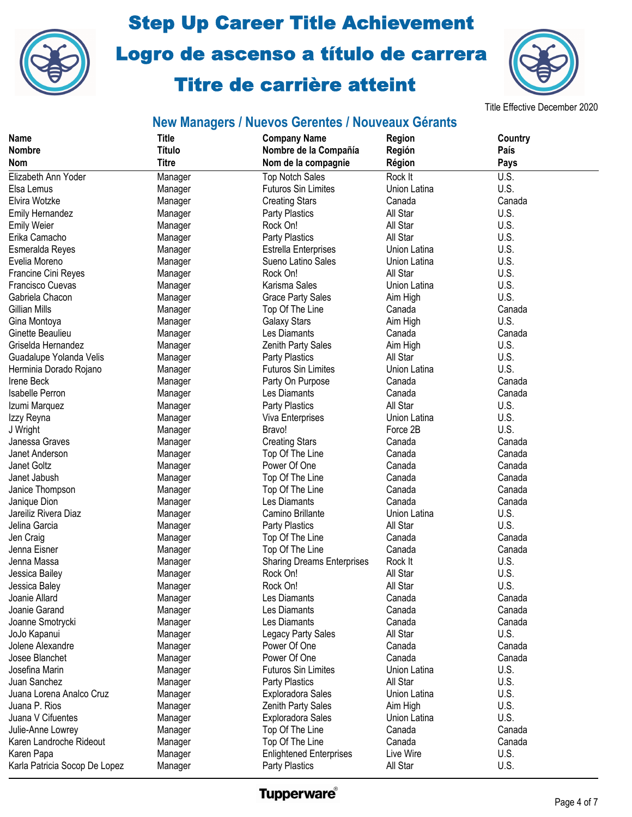



#### Title Effective December 2020

| <b>Name</b><br><b>Nombre</b>                      | <b>Title</b><br><b>Título</b> | <b>Company Name</b>                          | Region               | Country<br>País |
|---------------------------------------------------|-------------------------------|----------------------------------------------|----------------------|-----------------|
| <b>Nom</b>                                        | <b>Titre</b>                  | Nombre de la Compañía<br>Nom de la compagnie | Región<br>Région     | Pays            |
| Elizabeth Ann Yoder                               |                               | <b>Top Notch Sales</b>                       | Rock It              | U.S.            |
| Elsa Lemus                                        | Manager                       | <b>Futuros Sin Limites</b>                   | Union Latina         | U.S.            |
| Elvira Wotzke                                     | Manager                       |                                              | Canada               | Canada          |
|                                                   | Manager                       | <b>Creating Stars</b>                        | All Star             | U.S.            |
| <b>Emily Hernandez</b>                            | Manager                       | Party Plastics<br>Rock On!                   | All Star             | U.S.            |
| <b>Emily Weier</b><br>Erika Camacho               | Manager                       |                                              |                      |                 |
|                                                   | Manager                       | Party Plastics                               | All Star             | U.S.            |
| Esmeralda Reyes                                   | Manager                       | <b>Estrella Enterprises</b>                  | Union Latina         | U.S.            |
| Evelia Moreno                                     | Manager                       | Sueno Latino Sales                           | Union Latina         | U.S.<br>U.S.    |
| Francine Cini Reyes                               | Manager                       | Rock On!                                     | All Star             | U.S.            |
| <b>Francisco Cuevas</b>                           | Manager                       | Karisma Sales                                | Union Latina         | U.S.            |
| Gabriela Chacon                                   | Manager                       | <b>Grace Party Sales</b>                     | Aim High             | Canada          |
| Gillian Mills                                     | Manager                       | Top Of The Line                              | Canada               | U.S.            |
| Gina Montoya<br>Ginette Beaulieu                  | Manager                       | <b>Galaxy Stars</b><br>Les Diamants          | Aim High             | Canada          |
| Griselda Hernandez                                | Manager                       |                                              | Canada               | U.S.            |
|                                                   | Manager                       | Zenith Party Sales                           | Aim High<br>All Star | U.S.            |
| Guadalupe Yolanda Velis<br>Herminia Dorado Rojano | Manager                       | Party Plastics<br><b>Futuros Sin Limites</b> | Union Latina         | U.S.            |
| <b>Irene Beck</b>                                 | Manager                       | Party On Purpose                             | Canada               | Canada          |
| <b>Isabelle Perron</b>                            | Manager                       | Les Diamants                                 | Canada               | Canada          |
| Izumi Marquez                                     | Manager<br>Manager            | <b>Party Plastics</b>                        | All Star             | U.S.            |
| Izzy Reyna                                        | Manager                       | Viva Enterprises                             | Union Latina         | U.S.            |
| J Wright                                          | Manager                       | Bravo!                                       | Force 2B             | U.S.            |
| Janessa Graves                                    | Manager                       | <b>Creating Stars</b>                        | Canada               | Canada          |
| Janet Anderson                                    | Manager                       | Top Of The Line                              | Canada               | Canada          |
| Janet Goltz                                       | Manager                       | Power Of One                                 | Canada               | Canada          |
| Janet Jabush                                      | Manager                       | Top Of The Line                              | Canada               | Canada          |
| Janice Thompson                                   | Manager                       | Top Of The Line                              | Canada               | Canada          |
| Janique Dion                                      | Manager                       | Les Diamants                                 | Canada               | Canada          |
| Jareiliz Rivera Diaz                              | Manager                       | Camino Brillante                             | Union Latina         | U.S.            |
| Jelina Garcia                                     | Manager                       | <b>Party Plastics</b>                        | All Star             | U.S.            |
| Jen Craig                                         | Manager                       | Top Of The Line                              | Canada               | Canada          |
| Jenna Eisner                                      | Manager                       | Top Of The Line                              | Canada               | Canada          |
| Jenna Massa                                       | Manager                       | <b>Sharing Dreams Enterprises</b>            | Rock It              | U.S.            |
| Jessica Bailey                                    | Manager                       | Rock On!                                     | All Star             | U.S.            |
| Jessica Baley                                     | Manager                       | Rock On!                                     | All Star             | U.S.            |
| Joanie Allard                                     | Manager                       | Les Diamants                                 | Canada               | Canada          |
| Joanie Garand                                     | Manager                       | Les Diamants                                 | Canada               | Canada          |
| Joanne Smotrycki                                  | Manager                       | Les Diamants                                 | Canada               | Canada          |
| JoJo Kapanui                                      | Manager                       | Legacy Party Sales                           | All Star             | U.S.            |
| Jolene Alexandre                                  | Manager                       | Power Of One                                 | Canada               | Canada          |
| Josee Blanchet                                    | Manager                       | Power Of One                                 | Canada               | Canada          |
| Josefina Marin                                    | Manager                       | <b>Futuros Sin Limites</b>                   | Union Latina         | U.S.            |
| Juan Sanchez                                      | Manager                       | <b>Party Plastics</b>                        | All Star             | U.S.            |
| Juana Lorena Analco Cruz                          | Manager                       | <b>Exploradora Sales</b>                     | Union Latina         | U.S.            |
| Juana P. Rios                                     | Manager                       | Zenith Party Sales                           | Aim High             | U.S.            |
| Juana V Cifuentes                                 | Manager                       | <b>Exploradora Sales</b>                     | Union Latina         | U.S.            |
| Julie-Anne Lowrey                                 | Manager                       | Top Of The Line                              | Canada               | Canada          |
| Karen Landroche Rideout                           | Manager                       | Top Of The Line                              | Canada               | Canada          |
| Karen Papa                                        | Manager                       | <b>Enlightened Enterprises</b>               | Live Wire            | U.S.            |
| Karla Patricia Socop De Lopez                     | Manager                       | Party Plastics                               | All Star             | U.S.            |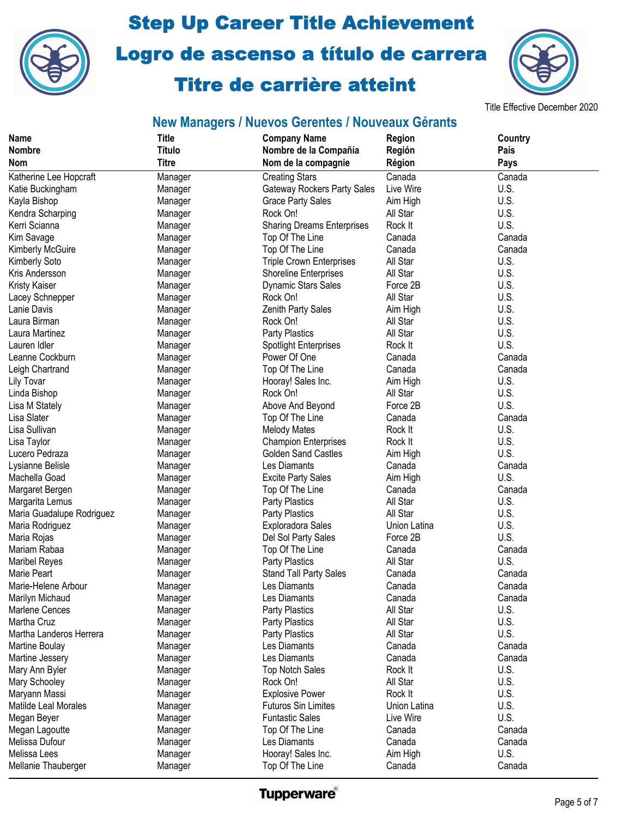



Title Effective December 2020

| <b>Name</b>               | <b>Title</b>  | <b>Company Name</b>                | <b>Region</b> | Country |
|---------------------------|---------------|------------------------------------|---------------|---------|
| <b>Nombre</b>             | <b>Título</b> | Nombre de la Compañía              | Región        | País    |
| Nom                       | <b>Titre</b>  | Nom de la compagnie                | Région        | Pays    |
| Katherine Lee Hopcraft    | Manager       | <b>Creating Stars</b>              | Canada        | Canada  |
| Katie Buckingham          | Manager       | <b>Gateway Rockers Party Sales</b> | Live Wire     | U.S.    |
| Kayla Bishop              | Manager       | <b>Grace Party Sales</b>           | Aim High      | U.S.    |
| Kendra Scharping          | Manager       | Rock On!                           | All Star      | U.S.    |
| Kerri Scianna             | Manager       | <b>Sharing Dreams Enterprises</b>  | Rock It       | U.S.    |
| Kim Savage                | Manager       | Top Of The Line                    | Canada        | Canada  |
| <b>Kimberly McGuire</b>   | Manager       | Top Of The Line                    | Canada        | Canada  |
| Kimberly Soto             | Manager       | Triple Crown Enterprises           | All Star      | U.S.    |
| Kris Andersson            | Manager       | Shoreline Enterprises              | All Star      | U.S.    |
| <b>Kristy Kaiser</b>      | Manager       | <b>Dynamic Stars Sales</b>         | Force 2B      | U.S.    |
| Lacey Schnepper           | Manager       | Rock On!                           | All Star      | U.S.    |
| Lanie Davis               | Manager       | Zenith Party Sales                 | Aim High      | U.S.    |
| Laura Birman              | Manager       | Rock On!                           | All Star      | U.S.    |
| Laura Martinez            | Manager       | <b>Party Plastics</b>              | All Star      | U.S.    |
| Lauren Idler              | Manager       | <b>Spotlight Enterprises</b>       | Rock It       | U.S.    |
| Leanne Cockburn           | Manager       | Power Of One                       | Canada        | Canada  |
| Leigh Chartrand           | Manager       | Top Of The Line                    | Canada        | Canada  |
| Lily Tovar                | Manager       | Hooray! Sales Inc.                 | Aim High      | U.S.    |
| Linda Bishop              | Manager       | Rock On!                           | All Star      | U.S.    |
| Lisa M Stately            | Manager       | Above And Beyond                   | Force 2B      | U.S.    |
| Lisa Slater               | Manager       | Top Of The Line                    | Canada        | Canada  |
| Lisa Sullivan             | Manager       | <b>Melody Mates</b>                | Rock It       | U.S.    |
| Lisa Taylor               | Manager       | <b>Champion Enterprises</b>        | Rock It       | U.S.    |
| Lucero Pedraza            | Manager       | <b>Golden Sand Castles</b>         | Aim High      | U.S.    |
| Lysianne Belisle          | Manager       | Les Diamants                       | Canada        | Canada  |
| Machella Goad             | Manager       | <b>Excite Party Sales</b>          | Aim High      | U.S.    |
| Margaret Bergen           | Manager       | Top Of The Line                    | Canada        | Canada  |
| Margarita Lemus           | Manager       | Party Plastics                     | All Star      | U.S.    |
| Maria Guadalupe Rodriguez | Manager       | <b>Party Plastics</b>              | All Star      | U.S.    |
| Maria Rodriguez           | Manager       | Exploradora Sales                  | Union Latina  | U.S.    |
| Maria Rojas               | Manager       | Del Sol Party Sales                | Force 2B      | U.S.    |
| Mariam Rabaa              | Manager       | Top Of The Line                    | Canada        | Canada  |
| <b>Maribel Reyes</b>      | Manager       | Party Plastics                     | All Star      | U.S.    |
| Marie Peart               | Manager       | Stand Tall Party Sales             | Canada        | Canada  |
| Marie-Helene Arbour       | Manager       | Les Diamants                       | Canada        | Canada  |
| Marilyn Michaud           | Manager       | Les Diamants                       | Canada        | Canada  |
| Marlene Cences            | Manager       | Party Plastics                     | All Star      | U.S.    |
| Martha Cruz               | Manager       | <b>Party Plastics</b>              | All Star      | U.S.    |
| Martha Landeros Herrera   | Manager       | <b>Party Plastics</b>              | All Star      | U.S.    |
| Martine Boulay            | Manager       | Les Diamants                       | Canada        | Canada  |
| Martine Jessery           | Manager       | Les Diamants                       | Canada        | Canada  |
| Mary Ann Byler            | Manager       | <b>Top Notch Sales</b>             | Rock It       | U.S.    |
| Mary Schooley             | Manager       | Rock On!                           | All Star      | U.S.    |
| Maryann Massi             | Manager       | <b>Explosive Power</b>             | Rock It       | U.S.    |
| Matilde Leal Morales      | Manager       | <b>Futuros Sin Limites</b>         | Union Latina  | U.S.    |
| Megan Beyer               | Manager       | <b>Funtastic Sales</b>             | Live Wire     | U.S.    |
| Megan Lagoutte            | Manager       | Top Of The Line                    | Canada        | Canada  |
| Melissa Dufour            | Manager       | Les Diamants                       | Canada        | Canada  |
| Melissa Lees              | Manager       | Hooray! Sales Inc.                 | Aim High      | U.S.    |
| Mellanie Thauberger       | Manager       | Top Of The Line                    | Canada        | Canada  |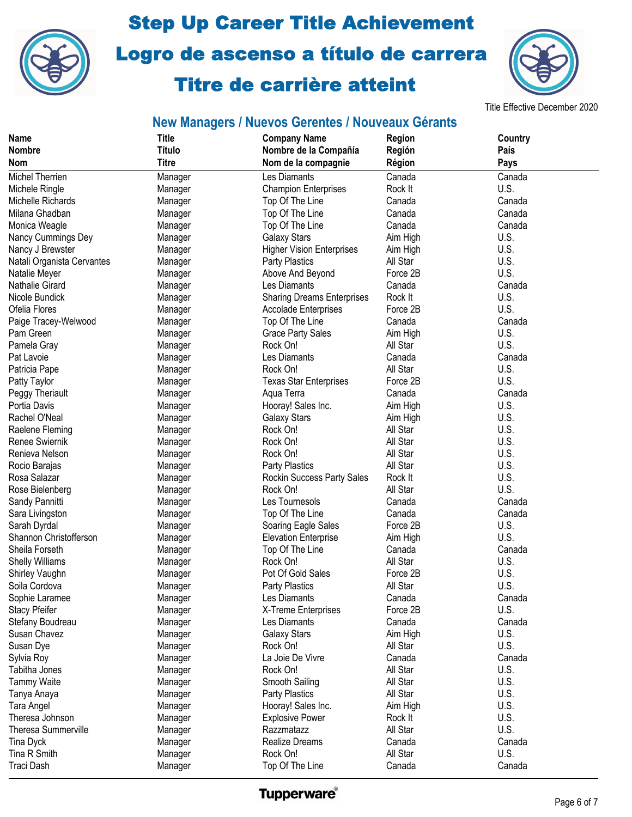



Title Effective December 2020

## **New Managers / Nuevos Gerentes / Nouveaux Gérants**

| <b>Name</b>                | <b>Title</b>       | <b>Company Name</b>               | Region             | Country |
|----------------------------|--------------------|-----------------------------------|--------------------|---------|
| <b>Nombre</b>              | <b>Título</b>      | Nombre de la Compañía             | Región             | País    |
| <b>Nom</b>                 | <b>Titre</b>       | Nom de la compagnie               | Région             | Pays    |
| Michel Therrien            | Manager            | Les Diamants                      | Canada             | Canada  |
| Michele Ringle             | Manager            | <b>Champion Enterprises</b>       | Rock It            | U.S.    |
| Michelle Richards          | Manager            | Top Of The Line                   | Canada             | Canada  |
| Milana Ghadban             | Manager            | Top Of The Line                   | Canada             | Canada  |
| Monica Weagle              | Manager            | Top Of The Line                   | Canada             | Canada  |
| Nancy Cummings Dey         | Manager            | <b>Galaxy Stars</b>               | Aim High           | U.S.    |
| Nancy J Brewster           | Manager            | <b>Higher Vision Enterprises</b>  | Aim High           | U.S.    |
| Natali Organista Cervantes | Manager            | <b>Party Plastics</b>             | All Star           | U.S.    |
| Natalie Meyer              | Manager            | Above And Beyond                  | Force 2B           | U.S.    |
| Nathalie Girard            | Manager            | Les Diamants                      | Canada             | Canada  |
| Nicole Bundick             | Manager            | <b>Sharing Dreams Enterprises</b> | Rock It            | U.S.    |
| Ofelia Flores              | Manager            | <b>Accolade Enterprises</b>       | Force 2B           | U.S.    |
| Paige Tracey-Welwood       | Manager            | Top Of The Line                   | Canada             | Canada  |
| Pam Green                  | Manager            | <b>Grace Party Sales</b>          | Aim High           | U.S.    |
| Pamela Gray                | Manager            | Rock On!                          | All Star           | U.S.    |
| Pat Lavoie                 | Manager            | Les Diamants                      | Canada             | Canada  |
| Patricia Pape              | Manager            | Rock On!                          | All Star           | U.S.    |
| Patty Taylor               | Manager            | <b>Texas Star Enterprises</b>     | Force 2B           | U.S.    |
| Peggy Theriault            | Manager            | Aqua Terra                        | Canada             | Canada  |
| Portia Davis               | Manager            | Hooray! Sales Inc.                | Aim High           | U.S.    |
| Rachel O'Neal              | Manager            | <b>Galaxy Stars</b>               | Aim High           | U.S.    |
| Raelene Fleming            | Manager            | Rock On!                          | All Star           | U.S.    |
| Renee Swiernik             | Manager            | Rock On!                          | All Star           | U.S.    |
| Renieva Nelson             | Manager            | Rock On!                          | All Star           | U.S.    |
| Rocio Barajas              | Manager            | <b>Party Plastics</b>             | All Star           | U.S.    |
| Rosa Salazar               | Manager            | Rockin Success Party Sales        | Rock It            | U.S.    |
| Rose Bielenberg            | Manager            | Rock On!                          | All Star           | U.S.    |
| Sandy Pannitti             | Manager            | Les Tournesols                    | Canada             | Canada  |
| Sara Livingston            | Manager            | Top Of The Line                   | Canada             | Canada  |
| Sarah Dyrdal               | Manager            | Soaring Eagle Sales               | Force 2B           | U.S.    |
| Shannon Christofferson     | Manager            | <b>Elevation Enterprise</b>       | Aim High           | U.S.    |
| Sheila Forseth             | Manager            | Top Of The Line                   | Canada             | Canada  |
| <b>Shelly Williams</b>     | Manager            | Rock On!                          | All Star           | U.S.    |
| Shirley Vaughn             | Manager            | Pot Of Gold Sales                 | Force 2B           | U.S.    |
| Soila Cordova              | Manager            | Party Plastics                    | All Star           | U.S.    |
| Sophie Laramee             | Manager            | Les Diamants                      | Canada             | Canada  |
| <b>Stacy Pfeifer</b>       | Manager            | X-Treme Enterprises               | Force 2B           | U.S.    |
| Stefany Boudreau           | Manager            | Les Diamants                      | Canada             | Canada  |
| Susan Chavez               | Manager            | <b>Galaxy Stars</b>               | Aim High           | U.S.    |
| Susan Dye                  | Manager            | Rock On!                          | All Star           | U.S.    |
| Sylvia Roy                 | Manager            | La Joie De Vivre                  | Canada             | Canada  |
| Tabitha Jones              | Manager            | Rock On!                          | All Star           | U.S.    |
| <b>Tammy Waite</b>         | Manager            | Smooth Sailing                    | All Star           | U.S.    |
| Tanya Anaya                |                    | <b>Party Plastics</b>             | All Star           | U.S.    |
| Tara Angel                 | Manager<br>Manager | Hooray! Sales Inc.                | Aim High           | U.S.    |
| Theresa Johnson            |                    | <b>Explosive Power</b>            | Rock It            | U.S.    |
| <b>Theresa Summerville</b> | Manager            | Razzmatazz                        | All Star           | U.S.    |
|                            | Manager            | Realize Dreams                    |                    | Canada  |
| Tina Dyck<br>Tina R Smith  | Manager            | Rock On!                          | Canada<br>All Star | U.S.    |
|                            | Manager            |                                   |                    |         |
| Traci Dash                 | Manager            | Top Of The Line                   | Canada             | Canada  |

**Tupperware**®